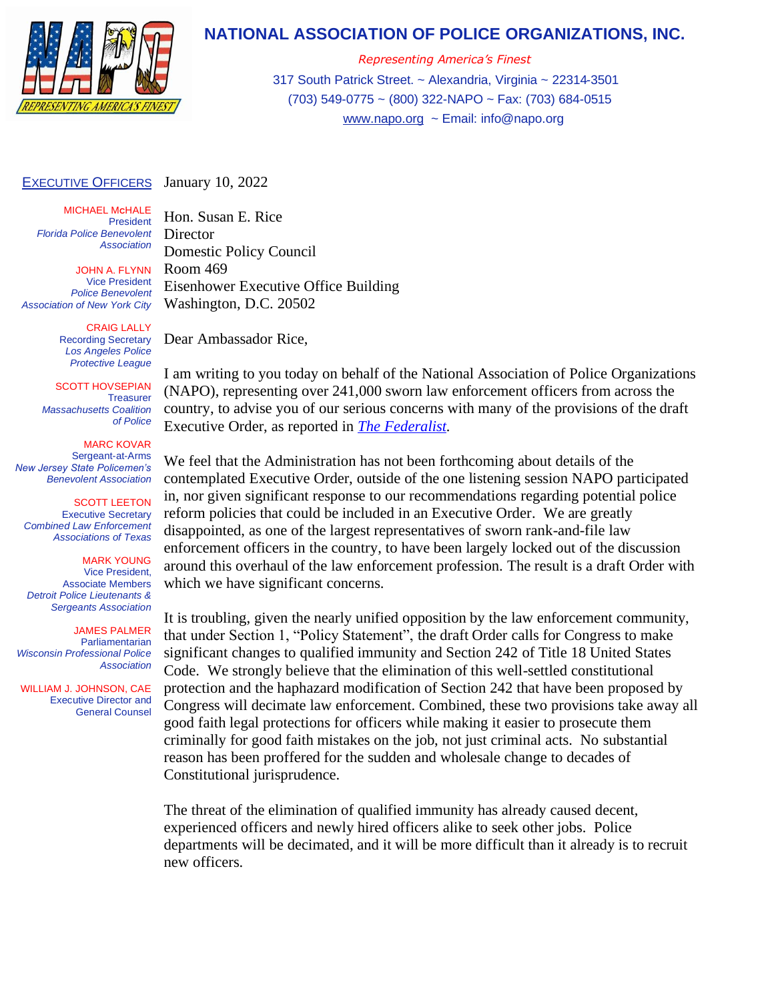

## **NATIONAL ASSOCIATION OF POLICE ORGANIZATIONS, INC.**

*Representing America's Finest* 317 South Patrick Street. ~ Alexandria, Virginia ~ 22314-3501 (703) 549-0775 ~ (800) 322-NAPO ~ Fax: (703) 684-0515 [www.napo.org](http://www.napo.org/) ~ Email: info@napo.org

## **EXECUTIVE OFFICERS** January 10, 2022

MICHAEL M**C**HALE President *Florida Police Benevolent Association*

JOHN A. FLYNN Vice President *Police Benevolent Association of New York City*

> CRAIG LALLY Recording Secretary *Los Angeles Police Protective League*

SCOTT HOVSEPIAN **Treasurer** *Massachusetts Coalition of Police*

MARC KOVAR Sergeant-at-Arms *New Jersey State Policemen's Benevolent Association*

SCOTT LEETON Executive Secretary *Combined Law Enforcement Associations of Texas*

## MARK YOUNG

Vice President, Associate Members *Detroit Police Lieutenants & Sergeants Association*

JAMES PALMER Parliamentarian *Wisconsin Professional Police Association*

 WILLIAM J. JOHNSON, CAE Executive Director and General Counsel Director Domestic Policy Council Room 469 Eisenhower Executive Office Building Washington, D.C. 20502

Dear Ambassador Rice,

Hon. Susan E. Rice

I am writing to you today on behalf of the National Association of Police Organizations (NAPO), representing over 241,000 sworn law enforcement officers from across the country, to advise you of our serious concerns with many of the provisions of the draft Executive Order, as reported in *[The Federalist.](https://www.scribd.com/document/551048117/DOJ-HHS-Exec-Order-Dec-2021)*

We feel that the Administration has not been forthcoming about details of the contemplated Executive Order, outside of the one listening session NAPO participated in, nor given significant response to our recommendations regarding potential police reform policies that could be included in an Executive Order. We are greatly disappointed, as one of the largest representatives of sworn rank-and-file law enforcement officers in the country, to have been largely locked out of the discussion around this overhaul of the law enforcement profession. The result is a draft Order with which we have significant concerns.

It is troubling, given the nearly unified opposition by the law enforcement community, that under Section 1, "Policy Statement", the draft Order calls for Congress to make significant changes to qualified immunity and Section 242 of Title 18 United States Code. We strongly believe that the elimination of this well-settled constitutional protection and the haphazard modification of Section 242 that have been proposed by Congress will decimate law enforcement. Combined, these two provisions take away all good faith legal protections for officers while making it easier to prosecute them criminally for good faith mistakes on the job, not just criminal acts. No substantial reason has been proffered for the sudden and wholesale change to decades of Constitutional jurisprudence.

The threat of the elimination of qualified immunity has already caused decent, experienced officers and newly hired officers alike to seek other jobs. Police departments will be decimated, and it will be more difficult than it already is to recruit new officers.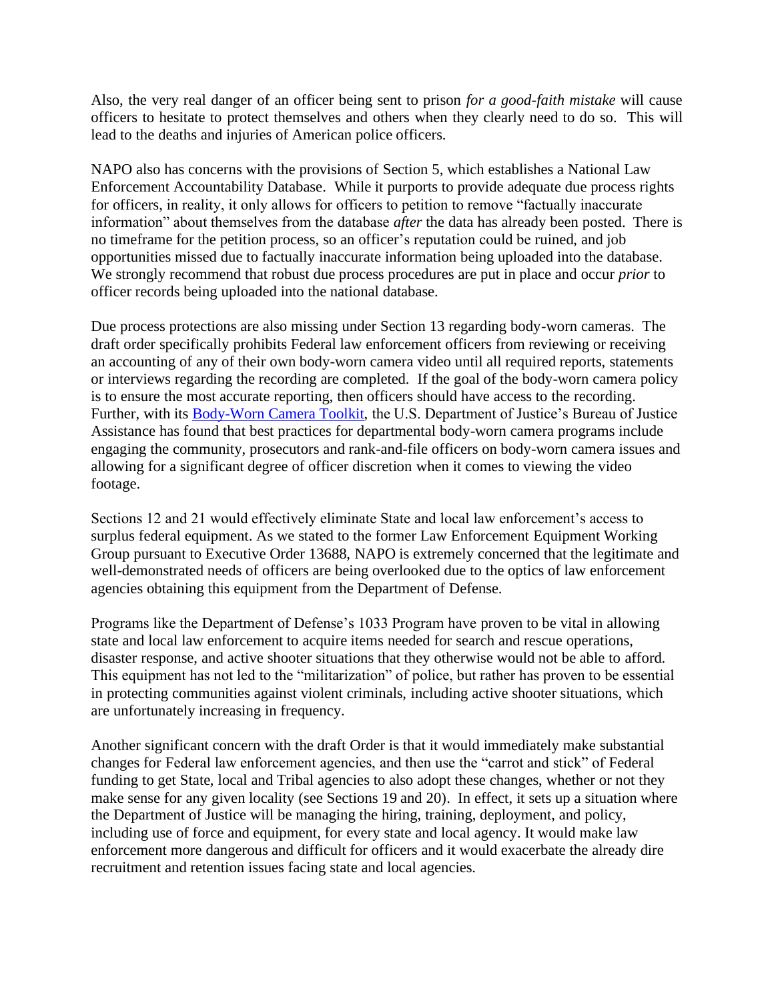Also, the very real danger of an officer being sent to prison *for a good-faith mistake* will cause officers to hesitate to protect themselves and others when they clearly need to do so. This will lead to the deaths and injuries of American police officers.

NAPO also has concerns with the provisions of Section 5, which establishes a National Law Enforcement Accountability Database. While it purports to provide adequate due process rights for officers, in reality, it only allows for officers to petition to remove "factually inaccurate information" about themselves from the database *after* the data has already been posted. There is no timeframe for the petition process, so an officer's reputation could be ruined, and job opportunities missed due to factually inaccurate information being uploaded into the database. We strongly recommend that robust due process procedures are put in place and occur *prior* to officer records being uploaded into the national database.

Due process protections are also missing under Section 13 regarding body-worn cameras. The draft order specifically prohibits Federal law enforcement officers from reviewing or receiving an accounting of any of their own body-worn camera video until all required reports, statements or interviews regarding the recording are completed. If the goal of the body-worn camera policy is to ensure the most accurate reporting, then officers should have access to the recording. Further, with its [Body-Worn Camera Toolkit,](https://bja.ojp.gov/program/bwc) the U.S. Department of Justice's Bureau of Justice Assistance has found that best practices for departmental body-worn camera programs include engaging the community, prosecutors and rank-and-file officers on body-worn camera issues and allowing for a significant degree of officer discretion when it comes to viewing the video footage.

Sections 12 and 21 would effectively eliminate State and local law enforcement's access to surplus federal equipment. As we stated to the former Law Enforcement Equipment Working Group pursuant to Executive Order 13688, NAPO is extremely concerned that the legitimate and well-demonstrated needs of officers are being overlooked due to the optics of law enforcement agencies obtaining this equipment from the Department of Defense.

Programs like the Department of Defense's 1033 Program have proven to be vital in allowing state and local law enforcement to acquire items needed for search and rescue operations, disaster response, and active shooter situations that they otherwise would not be able to afford. This equipment has not led to the "militarization" of police, but rather has proven to be essential in protecting communities against violent criminals, including active shooter situations, which are unfortunately increasing in frequency.

Another significant concern with the draft Order is that it would immediately make substantial changes for Federal law enforcement agencies, and then use the "carrot and stick" of Federal funding to get State, local and Tribal agencies to also adopt these changes, whether or not they make sense for any given locality (see Sections 19 and 20). In effect, it sets up a situation where the Department of Justice will be managing the hiring, training, deployment, and policy, including use of force and equipment, for every state and local agency. It would make law enforcement more dangerous and difficult for officers and it would exacerbate the already dire recruitment and retention issues facing state and local agencies.